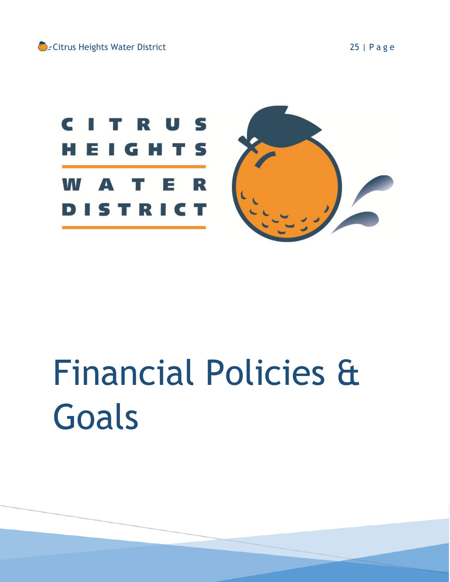

# Financial Policies & Goals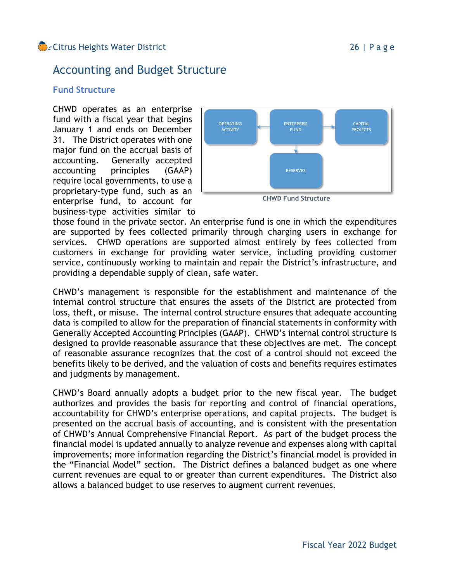# Accounting and Budget Structure

#### **Fund Structure**

CHWD operates as an enterprise fund with a fiscal year that begins January 1 and ends on December 31. The District operates with one major fund on the accrual basis of accounting. Generally accepted accounting principles (GAAP) require local governments, to use a proprietary-type fund, such as an enterprise fund, to account for business-type activities similar to



those found in the private sector. An enterprise fund is one in which the expenditures are supported by fees collected primarily through charging users in exchange for services. CHWD operations are supported almost entirely by fees collected from customers in exchange for providing water service, including providing customer service, continuously working to maintain and repair the District's infrastructure, and providing a dependable supply of clean, safe water.

CHWD's management is responsible for the establishment and maintenance of the internal control structure that ensures the assets of the District are protected from loss, theft, or misuse. The internal control structure ensures that adequate accounting data is compiled to allow for the preparation of financial statements in conformity with Generally Accepted Accounting Principles (GAAP). CHWD's internal control structure is designed to provide reasonable assurance that these objectives are met. The concept of reasonable assurance recognizes that the cost of a control should not exceed the benefits likely to be derived, and the valuation of costs and benefits requires estimates and judgments by management.

CHWD's Board annually adopts a budget prior to the new fiscal year. The budget authorizes and provides the basis for reporting and control of financial operations, accountability for CHWD's enterprise operations, and capital projects. The budget is presented on the accrual basis of accounting, and is consistent with the presentation of CHWD's Annual Comprehensive Financial Report. As part of the budget process the financial model is updated annually to analyze revenue and expenses along with capital improvements; more information regarding the District's financial model is provided in the "Financial Model" section. The District defines a balanced budget as one where current revenues are equal to or greater than current expenditures. The District also allows a balanced budget to use reserves to augment current revenues.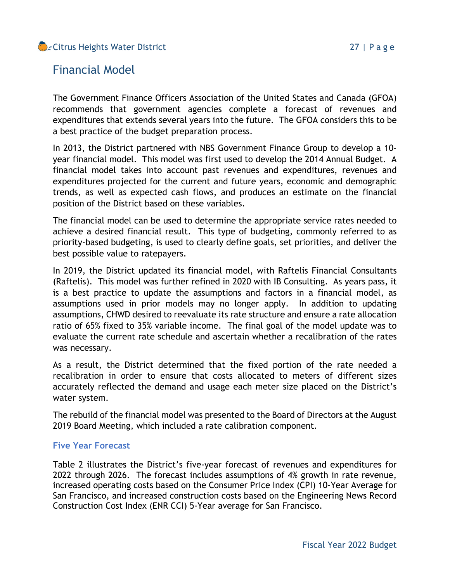## Citrus Heights Water District **27 | Page**

# Financial Model

The Government Finance Officers Association of the United States and Canada (GFOA) recommends that government agencies complete a forecast of revenues and expenditures that extends several years into the future. The GFOA considers this to be a best practice of the budget preparation process.

In 2013, the District partnered with NBS Government Finance Group to develop a 10 year financial model. This model was first used to develop the 2014 Annual Budget. A financial model takes into account past revenues and expenditures, revenues and expenditures projected for the current and future years, economic and demographic trends, as well as expected cash flows, and produces an estimate on the financial position of the District based on these variables.

The financial model can be used to determine the appropriate service rates needed to achieve a desired financial result. This type of budgeting, commonly referred to as priority-based budgeting, is used to clearly define goals, set priorities, and deliver the best possible value to ratepayers.

In 2019, the District updated its financial model, with Raftelis Financial Consultants (Raftelis). This model was further refined in 2020 with IB Consulting. As years pass, it is a best practice to update the assumptions and factors in a financial model, as assumptions used in prior models may no longer apply. In addition to updating assumptions, CHWD desired to reevaluate its rate structure and ensure a rate allocation ratio of 65% fixed to 35% variable income. The final goal of the model update was to evaluate the current rate schedule and ascertain whether a recalibration of the rates was necessary.

As a result, the District determined that the fixed portion of the rate needed a recalibration in order to ensure that costs allocated to meters of different sizes accurately reflected the demand and usage each meter size placed on the District's water system.

The rebuild of the financial model was presented to the Board of Directors at the August 2019 Board Meeting, which included a rate calibration component.

#### **Five Year Forecast**

Table 2 illustrates the District's five-year forecast of revenues and expenditures for 2022 through 2026. The forecast includes assumptions of 4% growth in rate revenue, increased operating costs based on the Consumer Price Index (CPI) 10-Year Average for San Francisco, and increased construction costs based on the Engineering News Record Construction Cost Index (ENR CCI) 5-Year average for San Francisco.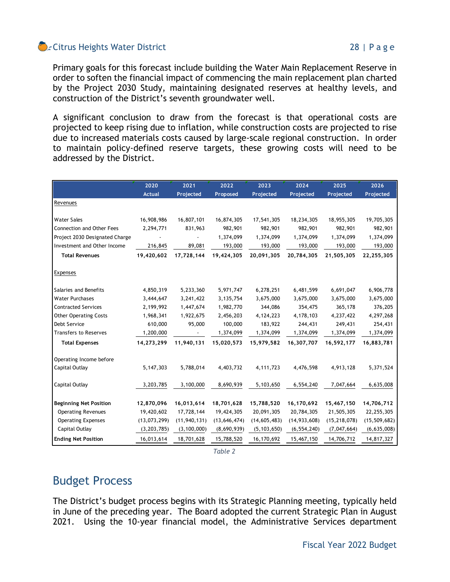## Citrus Heights Water District **Contract City Contract Contract City Contract City Contract City Contract City Contract City Contract City Contract City Contract City Contract City Contract City Contract City Contract City**

Primary goals for this forecast include building the Water Main Replacement Reserve in order to soften the financial impact of commencing the main replacement plan charted by the Project 2030 Study, maintaining designated reserves at healthy levels, and construction of the District's seventh groundwater well.

A significant conclusion to draw from the forecast is that operational costs are projected to keep rising due to inflation, while construction costs are projected to rise due to increased materials costs caused by large-scale regional construction. In order to maintain policy-defined reserve targets, these growing costs will need to be addressed by the District.

|                                | 2020           | 2021           | 2022           | 2023           | 2024           | 2025           | 2026           |
|--------------------------------|----------------|----------------|----------------|----------------|----------------|----------------|----------------|
|                                | <b>Actual</b>  | Projected      | Proposed       | Projected      | Projected      | Projected      | Projected      |
| Revenues                       |                |                |                |                |                |                |                |
|                                |                |                |                |                |                |                |                |
| <b>Water Sales</b>             | 16,908,986     | 16,807,101     | 16,874,305     | 17,541,305     | 18,234,305     | 18,955,305     | 19,705,305     |
| Connection and Other Fees      | 2,294,771      | 831,963        | 982,901        | 982,901        | 982,901        | 982,901        | 982,901        |
| Project 2030 Designated Charge |                |                | 1,374,099      | 1,374,099      | 1,374,099      | 1,374,099      | 1,374,099      |
| Investment and Other Income    | 216,845        | 89,081         | 193,000        | 193,000        | 193,000        | 193,000        | 193,000        |
| <b>Total Revenues</b>          | 19,420,602     | 17,728,144     | 19,424,305     | 20,091,305     | 20,784,305     | 21,505,305     | 22,255,305     |
| Expenses                       |                |                |                |                |                |                |                |
| Salaries and Benefits          | 4,850,319      | 5,233,360      | 5,971,747      | 6,278,251      | 6,481,599      | 6,691,047      | 6,906,778      |
| <b>Water Purchases</b>         | 3,444,647      | 3,241,422      | 3,135,754      | 3,675,000      | 3,675,000      | 3,675,000      | 3,675,000      |
| <b>Contracted Services</b>     | 2,199,992      | 1,447,674      | 1,982,770      | 344,086        | 354,475        | 365,178        | 376,205        |
| <b>Other Operating Costs</b>   | 1,968,341      | 1,922,675      | 2,456,203      | 4,124,223      | 4,178,103      | 4,237,422      | 4,297,268      |
| <b>Debt Service</b>            | 610,000        | 95,000         | 100,000        | 183,922        | 244,431        | 249,431        | 254,431        |
| Transfers to Reserves          | 1,200,000      |                | 1,374,099      | 1,374,099      | 1,374,099      | 1,374,099      | 1,374,099      |
| <b>Total Expenses</b>          | 14,273,299     | 11,940,131     | 15,020,573     | 15,979,582     | 16,307,707     | 16,592,177     | 16,883,781     |
| Operating Income before        |                |                |                |                |                |                |                |
| <b>Capital Outlay</b>          | 5,147,303      | 5,788,014      | 4,403,732      | 4, 111, 723    | 4,476,598      | 4,913,128      | 5,371,524      |
| Capital Outlay                 | 3,203,785      | 3,100,000      | 8,690,939      | 5,103,650      | 6,554,240      | 7,047,664      | 6,635,008      |
| <b>Beginning Net Position</b>  | 12,870,096     | 16,013,614     | 18,701,628     | 15,788,520     | 16,170,692     | 15,467,150     | 14,706,712     |
| <b>Operating Revenues</b>      | 19,420,602     | 17,728,144     | 19,424,305     | 20,091,305     | 20,784,305     | 21,505,305     | 22,255,305     |
| <b>Operating Expenses</b>      | (13, 073, 299) | (11, 940, 131) | (13, 646, 474) | (14, 605, 483) | (14, 933, 608) | (15, 218, 078) | (15, 509, 682) |
| Capital Outlay                 | (3, 203, 785)  | (3, 100, 000)  | (8,690,939)    | (5, 103, 650)  | (6, 554, 240)  | (7,047,664)    | (6,635,008)    |
| <b>Ending Net Position</b>     | 16,013,614     | 18,701,628     | 15,788,520     | 16,170,692     | 15,467,150     | 14,706,712     | 14,817,327     |

*Table 2*

# Budget Process

The District's budget process begins with its Strategic Planning meeting, typically held in June of the preceding year. The Board adopted the current Strategic Plan in August 2021. Using the 10-year financial model, the Administrative Services department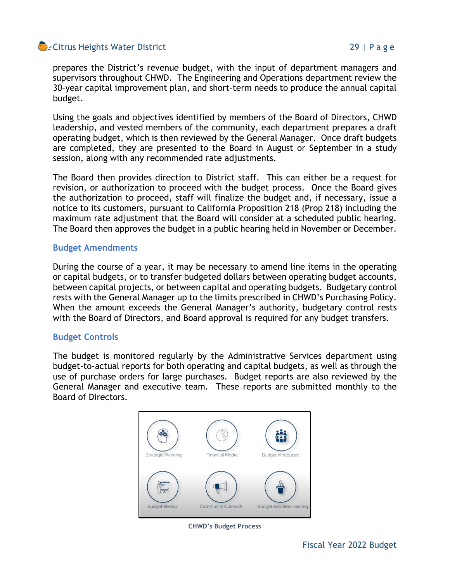## Citrus Heights Water District **29 a.** 29 | Page

prepares the District's revenue budget, with the input of department managers and supervisors throughout CHWD. The Engineering and Operations department review the 30-year capital improvement plan, and short-term needs to produce the annual capital budget.

Using the goals and objectives identified by members of the Board of Directors, CHWD leadership, and vested members of the community, each department prepares a draft operating budget, which is then reviewed by the General Manager. Once draft budgets are completed, they are presented to the Board in August or September in a study session, along with any recommended rate adjustments.

The Board then provides direction to District staff. This can either be a request for revision, or authorization to proceed with the budget process. Once the Board gives the authorization to proceed, staff will finalize the budget and, if necessary, issue a notice to its customers, pursuant to California Proposition 218 (Prop 218) including the maximum rate adjustment that the Board will consider at a scheduled public hearing. The Board then approves the budget in a public hearing held in November or December.

#### **Budget Amendments**

During the course of a year, it may be necessary to amend line items in the operating or capital budgets, or to transfer budgeted dollars between operating budget accounts, between capital projects, or between capital and operating budgets. Budgetary control rests with the General Manager up to the limits prescribed in CHWD's Purchasing Policy. When the amount exceeds the General Manager's authority, budgetary control rests with the Board of Directors, and Board approval is required for any budget transfers.

#### **Budget Controls**

The budget is monitored regularly by the Administrative Services department using budget-to-actual reports for both operating and capital budgets, as well as through the use of purchase orders for large purchases. Budget reports are also reviewed by the General Manager and executive team. These reports are submitted monthly to the Board of Directors.



**CHWD's Budget Process**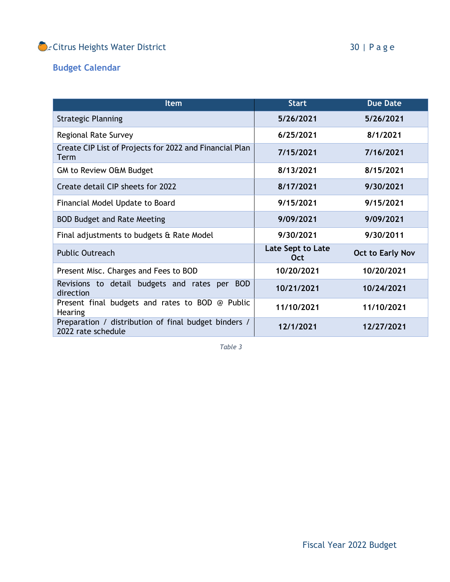# Citrus Heights Water District **30** | Page

# **Budget Calendar**

| <b>Item</b>                                                                | <b>Start</b>                    | <b>Due Date</b>         |  |
|----------------------------------------------------------------------------|---------------------------------|-------------------------|--|
| <b>Strategic Planning</b>                                                  | 5/26/2021                       | 5/26/2021               |  |
| <b>Regional Rate Survey</b>                                                | 6/25/2021                       | 8/1/2021                |  |
| Create CIP List of Projects for 2022 and Financial Plan<br>Term            | 7/15/2021                       | 7/16/2021               |  |
| <b>GM to Review O&amp;M Budget</b>                                         | 8/13/2021                       | 8/15/2021               |  |
| Create detail CIP sheets for 2022                                          | 8/17/2021                       | 9/30/2021               |  |
| Financial Model Update to Board                                            | 9/15/2021                       | 9/15/2021               |  |
| <b>BOD Budget and Rate Meeting</b>                                         | 9/09/2021                       | 9/09/2021               |  |
| Final adjustments to budgets & Rate Model                                  | 9/30/2021                       | 9/30/2011               |  |
| <b>Public Outreach</b>                                                     | Late Sept to Late<br><b>Oct</b> | <b>Oct to Early Nov</b> |  |
| Present Misc. Charges and Fees to BOD                                      | 10/20/2021                      | 10/20/2021              |  |
| Revisions to detail budgets and rates per BOD<br>direction                 | 10/21/2021                      | 10/24/2021              |  |
| Present final budgets and rates to BOD @ Public<br><b>Hearing</b>          | 11/10/2021                      | 11/10/2021              |  |
| Preparation / distribution of final budget binders /<br>2022 rate schedule | 12/1/2021                       | 12/27/2021              |  |

*Table 3*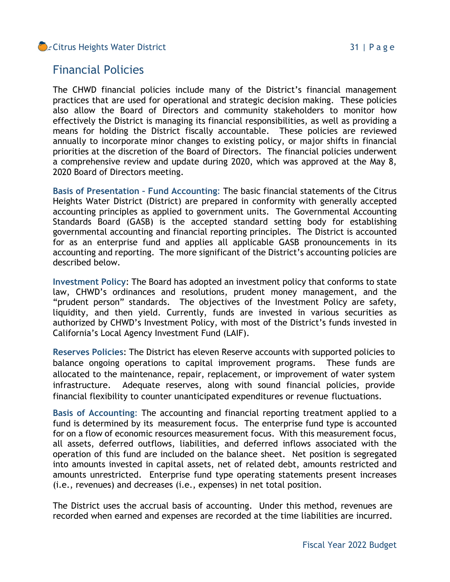## Citrus Heights Water District **31** | Page

# Financial Policies

The CHWD financial policies include many of the District's financial management practices that are used for operational and strategic decision making. These policies also allow the Board of Directors and community stakeholders to monitor how effectively the District is managing its financial responsibilities, as well as providing a means for holding the District fiscally accountable. These policies are reviewed annually to incorporate minor changes to existing policy, or major shifts in financial priorities at the discretion of the Board of Directors. The financial policies underwent a comprehensive review and update during 2020, which was approved at the May 8, 2020 Board of Directors meeting.

**Basis of Presentation – Fund Accounting**: The basic financial statements of the Citrus Heights Water District (District) are prepared in conformity with generally accepted accounting principles as applied to government units. The Governmental Accounting Standards Board (GASB) is the accepted standard setting body for establishing governmental accounting and financial reporting principles. The District is accounted for as an enterprise fund and applies all applicable GASB pronouncements in its accounting and reporting. The more significant of the District's accounting policies are described below.

**Investment Policy**: The Board has adopted an investment policy that conforms to state law, CHWD's ordinances and resolutions, prudent money management, and the "prudent person" standards. The objectives of the Investment Policy are safety, liquidity, and then yield. Currently, funds are invested in various securities as authorized by CHWD's Investment Policy, with most of the District's funds invested in California's Local Agency Investment Fund (LAIF).

**Reserves Policies**: The District has eleven Reserve accounts with supported policies to balance ongoing operations to capital improvement programs. These funds are allocated to the maintenance, repair, replacement, or improvement of water system infrastructure. Adequate reserves, along with sound financial policies, provide financial flexibility to counter unanticipated expenditures or revenue fluctuations.

**Basis of Accounting**: The accounting and financial reporting treatment applied to a fund is determined by its measurement focus. The enterprise fund type is accounted for on a flow of economic resources measurement focus. With this measurement focus, all assets, deferred outflows, liabilities, and deferred inflows associated with the operation of this fund are included on the balance sheet. Net position is segregated into amounts invested in capital assets, net of related debt, amounts restricted and amounts unrestricted. Enterprise fund type operating statements present increases (i.e., revenues) and decreases (i.e., expenses) in net total position.

The District uses the accrual basis of accounting. Under this method, revenues are recorded when earned and expenses are recorded at the time liabilities are incurred.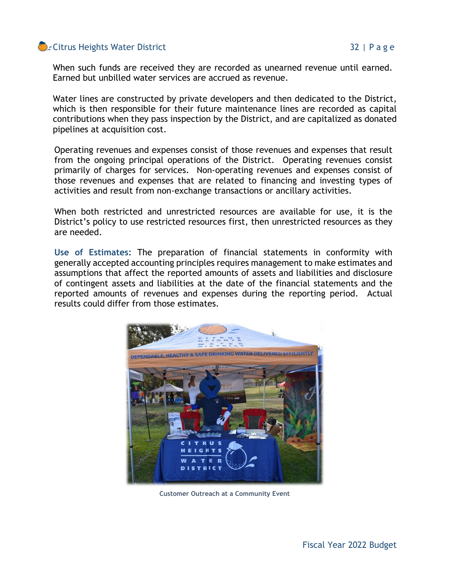## Citrus Heights Water District **32** | Page

When such funds are received they are recorded as unearned revenue until earned. Earned but unbilled water services are accrued as revenue.

Water lines are constructed by private developers and then dedicated to the District, which is then responsible for their future maintenance lines are recorded as capital contributions when they pass inspection by the District, and are capitalized as donated pipelines at acquisition cost.

Operating revenues and expenses consist of those revenues and expenses that result from the ongoing principal operations of the District. Operating revenues consist primarily of charges for services. Non-operating revenues and expenses consist of those revenues and expenses that are related to financing and investing types of activities and result from non-exchange transactions or ancillary activities.

When both restricted and unrestricted resources are available for use, it is the District's policy to use restricted resources first, then unrestricted resources as they are needed.

**Use of Estimates:** The preparation of financial statements in conformity with generally accepted accounting principles requires management to make estimates and assumptions that affect the reported amounts of assets and liabilities and disclosure of contingent assets and liabilities at the date of the financial statements and the reported amounts of revenues and expenses during the reporting period. Actual results could differ from those estimates.



**Customer Outreach at a Community Event**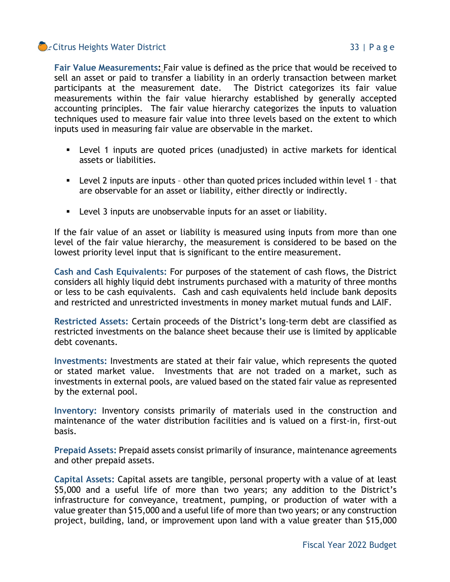## Citrus Heights Water District **33** | Page

**Fair Value Measurements:** Fair value is defined as the price that would be received to sell an asset or paid to transfer a liability in an orderly transaction between market participants at the measurement date. The District categorizes its fair value measurements within the fair value hierarchy established by generally accepted accounting principles. The fair value hierarchy categorizes the inputs to valuation techniques used to measure fair value into three levels based on the extent to which inputs used in measuring fair value are observable in the market.

- Level 1 inputs are quoted prices (unadjusted) in active markets for identical assets or liabilities.
- Level 2 inputs are inputs other than quoted prices included within level 1 that are observable for an asset or liability, either directly or indirectly.
- Level 3 inputs are unobservable inputs for an asset or liability.

If the fair value of an asset or liability is measured using inputs from more than one level of the fair value hierarchy, the measurement is considered to be based on the lowest priority level input that is significant to the entire measurement.

**Cash and Cash Equivalents:** For purposes of the statement of cash flows, the District considers all highly liquid debt instruments purchased with a maturity of three months or less to be cash equivalents. Cash and cash equivalents held include bank deposits and restricted and unrestricted investments in money market mutual funds and LAIF.

**Restricted Assets:** Certain proceeds of the District's long-term debt are classified as restricted investments on the balance sheet because their use is limited by applicable debt covenants.

**Investments:** Investments are stated at their fair value, which represents the quoted or stated market value. Investments that are not traded on a market, such as investments in external pools, are valued based on the stated fair value as represented by the external pool.

**Inventory:** Inventory consists primarily of materials used in the construction and maintenance of the water distribution facilities and is valued on a first-in, first-out basis.

**Prepaid Assets:** Prepaid assets consist primarily of insurance, maintenance agreements and other prepaid assets.

**Capital Assets:** Capital assets are tangible, personal property with a value of at least \$5,000 and a useful life of more than two years; any addition to the District's infrastructure for conveyance, treatment, pumping, or production of water with a value greater than \$15,000 and a useful life of more than two years; or any construction project, building, land, or improvement upon land with a value greater than \$15,000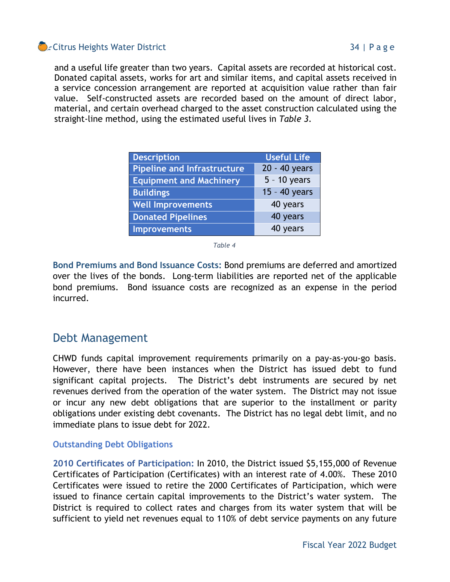## Citrus Heights Water District **34** | Page

and a useful life greater than two years. Capital assets are recorded at historical cost. Donated capital assets, works for art and similar items, and capital assets received in a service concession arrangement are reported at acquisition value rather than fair value. Self-constructed assets are recorded based on the amount of direct labor, material, and certain overhead charged to the asset construction calculated using the straight-line method, using the estimated useful lives in *Table 3*.

| <b>Description</b>                 | <b>Useful Life</b> |  |  |
|------------------------------------|--------------------|--|--|
| <b>Pipeline and Infrastructure</b> | 20 - 40 years      |  |  |
| <b>Equipment and Machinery</b>     | $5 - 10$ years     |  |  |
| <b>Buildings</b>                   | 15 - 40 years      |  |  |
| <b>Well Improvements</b>           | 40 years           |  |  |
| <b>Donated Pipelines</b>           | 40 years           |  |  |
| <b>Improvements</b>                | 40 years           |  |  |

*Table 4*

**Bond Premiums and Bond Issuance Costs:** Bond premiums are deferred and amortized over the lives of the bonds. Long-term liabilities are reported net of the applicable bond premiums. Bond issuance costs are recognized as an expense in the period incurred.

# Debt Management

CHWD funds capital improvement requirements primarily on a pay-as-you-go basis. However, there have been instances when the District has issued debt to fund significant capital projects. The District's debt instruments are secured by net revenues derived from the operation of the water system. The District may not issue or incur any new debt obligations that are superior to the installment or parity obligations under existing debt covenants. The District has no legal debt limit, and no immediate plans to issue debt for 2022.

#### **Outstanding Debt Obligations**

**2010 Certificates of Participation:** In 2010, the District issued \$5,155,000 of Revenue Certificates of Participation (Certificates) with an interest rate of 4.00%. These 2010 Certificates were issued to retire the 2000 Certificates of Participation, which were issued to finance certain capital improvements to the District's water system. The District is required to collect rates and charges from its water system that will be sufficient to yield net revenues equal to 110% of debt service payments on any future